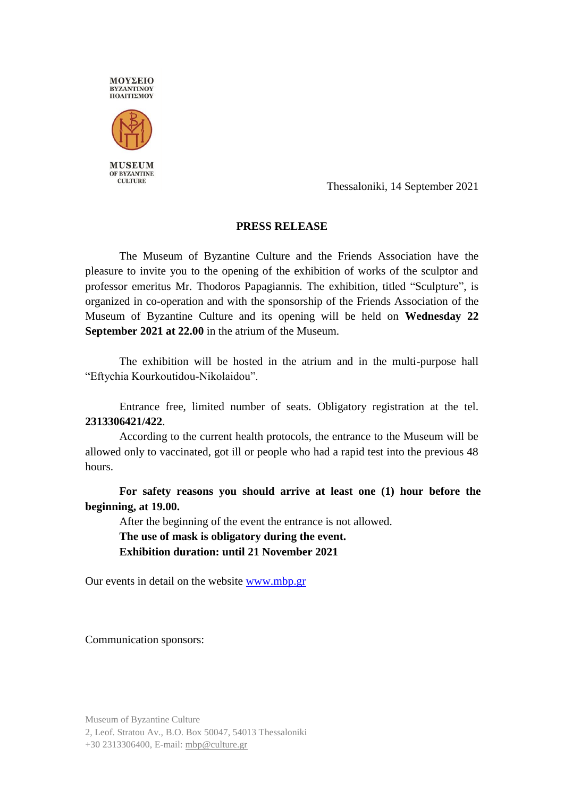

Thessaloniki, 14 September 2021

## **PRESS RELEASE**

The Museum of Byzantine Culture and the Friends Association have the pleasure to invite you to the opening of the exhibition of works of the sculptor and professor emeritus Mr. Thodoros Papagiannis. The exhibition, titled "Sculpture", is organized in co-operation and with the sponsorship of the Friends Association of the Museum of Byzantine Culture and its opening will be held on **Wednesday 22 September 2021 at 22.00** in the atrium of the Museum.

The exhibition will be hosted in the atrium and in the multi-purpose hall "Eftychia Kourkoutidou-Nikolaidou".

Entrance free, limited number of seats. Obligatory registration at the tel. **2313306421/422**.

According to the current health protocols, the entrance to the Museum will be allowed only to vaccinated, got ill or people who had a rapid test into the previous 48 hours.

**For safety reasons you should arrive at least one (1) hour before the beginning, at 19.00.**

After the beginning of the event the entrance is not allowed. **The use of mask is obligatory during the event.**

**Exhibition duration: until 21 November 2021**

Our events in detail on the website [www.mbp.gr](http://www.mbp.gr/)

Communication sponsors:

Museum of Byzantine Culture 2, Leof. Stratou Av., B.O. Box 50047, 54013 Thessaloniki +30 2313306400, E-mail[: mbp@culture.gr](mailto:mbp@culture.gr)